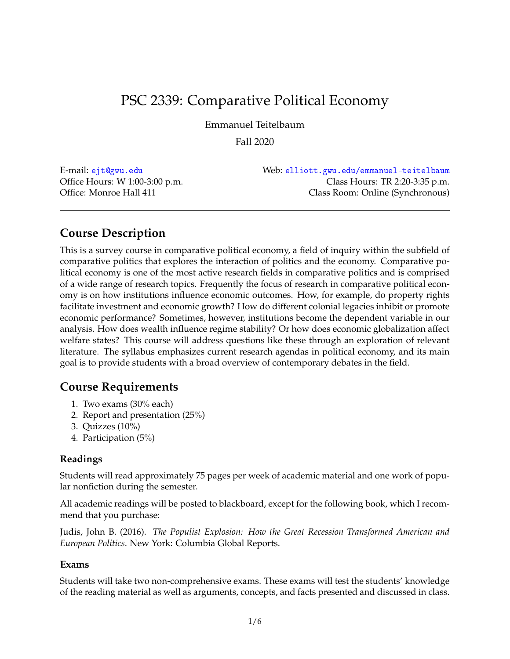# PSC 2339: Comparative Political Economy

Emmanuel Teitelbaum

Fall 2020

E-mail: [ejt@gwu.edu](mailto:ejt@gwu.edu) Web: [elliott.gwu.edu/emmanuel-teitelbaum](http://elliott.gwu.edu/emmanuel-teitelbaum) Office Hours: W 1:00-3:00 p.m. Class Hours: TR 2:20-3:35 p.m. Office: Monroe Hall 411 Class Room: Online (Synchronous)

# **Course Description**

This is a survey course in comparative political economy, a field of inquiry within the subfield of comparative politics that explores the interaction of politics and the economy. Comparative political economy is one of the most active research fields in comparative politics and is comprised of a wide range of research topics. Frequently the focus of research in comparative political economy is on how institutions influence economic outcomes. How, for example, do property rights facilitate investment and economic growth? How do different colonial legacies inhibit or promote economic performance? Sometimes, however, institutions become the dependent variable in our analysis. How does wealth influence regime stability? Or how does economic globalization affect welfare states? This course will address questions like these through an exploration of relevant literature. The syllabus emphasizes current research agendas in political economy, and its main goal is to provide students with a broad overview of contemporary debates in the field.

# **Course Requirements**

- 1. Two exams (30% each)
- 2. Report and presentation (25%)
- 3. Quizzes (10%)
- 4. Participation (5%)

### **Readings**

Students will read approximately 75 pages per week of academic material and one work of popular nonfiction during the semester.

All academic readings will be posted to blackboard, except for the following book, which I recommend that you purchase:

Judis, John B. (2016). *The Populist Explosion: How the Great Recession Transformed American and European Politics*. New York: Columbia Global Reports.

#### **Exams**

Students will take two non-comprehensive exams. These exams will test the students' knowledge of the reading material as well as arguments, concepts, and facts presented and discussed in class.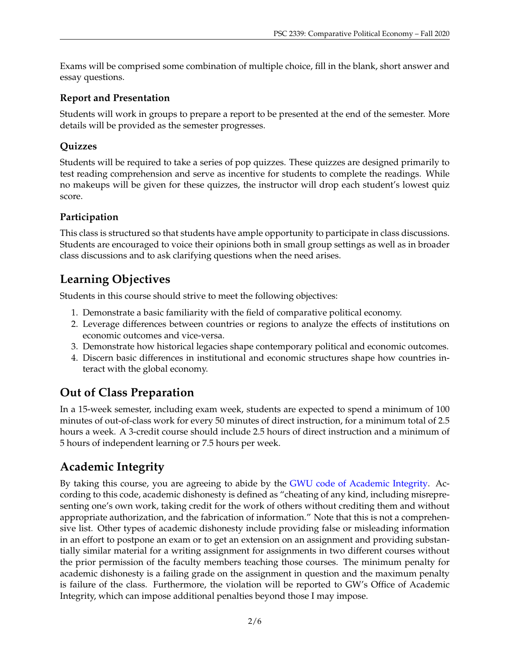Exams will be comprised some combination of multiple choice, fill in the blank, short answer and essay questions.

### **Report and Presentation**

Students will work in groups to prepare a report to be presented at the end of the semester. More details will be provided as the semester progresses.

# **Quizzes**

Students will be required to take a series of pop quizzes. These quizzes are designed primarily to test reading comprehension and serve as incentive for students to complete the readings. While no makeups will be given for these quizzes, the instructor will drop each student's lowest quiz score.

## **Participation**

This class is structured so that students have ample opportunity to participate in class discussions. Students are encouraged to voice their opinions both in small group settings as well as in broader class discussions and to ask clarifying questions when the need arises.

# **Learning Objectives**

Students in this course should strive to meet the following objectives:

- 1. Demonstrate a basic familiarity with the field of comparative political economy.
- 2. Leverage differences between countries or regions to analyze the effects of institutions on economic outcomes and vice-versa.
- 3. Demonstrate how historical legacies shape contemporary political and economic outcomes.
- 4. Discern basic differences in institutional and economic structures shape how countries interact with the global economy.

# **Out of Class Preparation**

In a 15-week semester, including exam week, students are expected to spend a minimum of 100 minutes of out-of-class work for every 50 minutes of direct instruction, for a minimum total of 2.5 hours a week. A 3-credit course should include 2.5 hours of direct instruction and a minimum of 5 hours of independent learning or 7.5 hours per week.

# **Academic Integrity**

By taking this course, you are agreeing to abide by the [GWU code of Academic Integrity.](http://studentconduct.gwu.edu/code-academic-integrity) According to this code, academic dishonesty is defined as "cheating of any kind, including misrepresenting one's own work, taking credit for the work of others without crediting them and without appropriate authorization, and the fabrication of information." Note that this is not a comprehensive list. Other types of academic dishonesty include providing false or misleading information in an effort to postpone an exam or to get an extension on an assignment and providing substantially similar material for a writing assignment for assignments in two different courses without the prior permission of the faculty members teaching those courses. The minimum penalty for academic dishonesty is a failing grade on the assignment in question and the maximum penalty is failure of the class. Furthermore, the violation will be reported to GW's Office of Academic Integrity, which can impose additional penalties beyond those I may impose.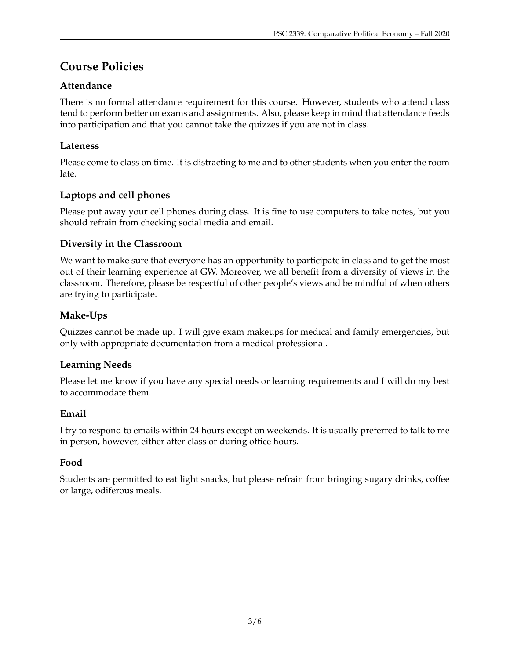# **Course Policies**

## **Attendance**

There is no formal attendance requirement for this course. However, students who attend class tend to perform better on exams and assignments. Also, please keep in mind that attendance feeds into participation and that you cannot take the quizzes if you are not in class.

### **Lateness**

Please come to class on time. It is distracting to me and to other students when you enter the room late.

# **Laptops and cell phones**

Please put away your cell phones during class. It is fine to use computers to take notes, but you should refrain from checking social media and email.

### **Diversity in the Classroom**

We want to make sure that everyone has an opportunity to participate in class and to get the most out of their learning experience at GW. Moreover, we all benefit from a diversity of views in the classroom. Therefore, please be respectful of other people's views and be mindful of when others are trying to participate.

## **Make-Ups**

Quizzes cannot be made up. I will give exam makeups for medical and family emergencies, but only with appropriate documentation from a medical professional.

### **Learning Needs**

Please let me know if you have any special needs or learning requirements and I will do my best to accommodate them.

### **Email**

I try to respond to emails within 24 hours except on weekends. It is usually preferred to talk to me in person, however, either after class or during office hours.

### **Food**

Students are permitted to eat light snacks, but please refrain from bringing sugary drinks, coffee or large, odiferous meals.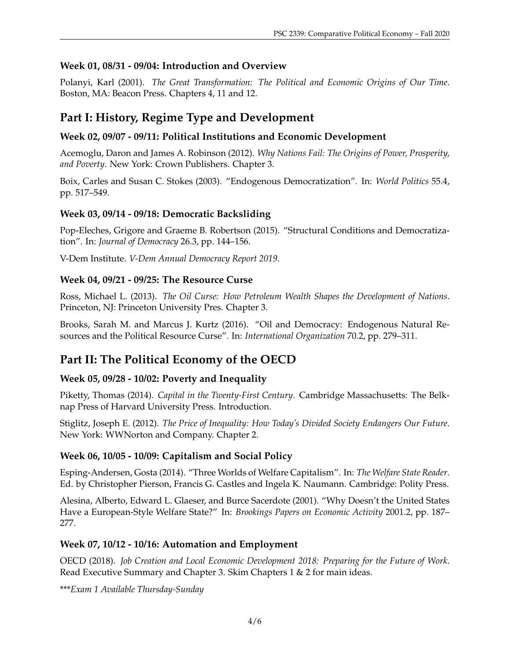### **Week 01, 08/31 - 09/04: Introduction and Overview**

Polanyi, Karl (2001). *The Great Transformation: The Political and Economic Origins of Our Time*. Boston, MA: Beacon Press. Chapters 4, 11 and 12.

# **Part I: History, Regime Type and Development**

## **Week 02, 09/07 - 09/11: Political Institutions and Economic Development**

Acemoglu, Daron and James A. Robinson (2012). *Why Nations Fail: The Origins of Power, Prosperity, and Poverty*. New York: Crown Publishers. Chapter 3.

Boix, Carles and Susan C. Stokes (2003). "Endogenous Democratization". In: *World Politics* 55.4, pp. 517–549.

### **Week 03, 09/14 - 09/18: Democratic Backsliding**

Pop-Eleches, Grigore and Graeme B. Robertson (2015). "Structural Conditions and Democratization". In: *Journal of Democracy* 26.3, pp. 144–156.

V-Dem Institute. *V-Dem Annual Democracy Report 2019*.

### **Week 04, 09/21 - 09/25: The Resource Curse**

Ross, Michael L. (2013). *The Oil Curse: How Petroleum Wealth Shapes the Development of Nations*. Princeton, NJ: Princeton University Pres. Chapter 3.

Brooks, Sarah M. and Marcus J. Kurtz (2016). "Oil and Democracy: Endogenous Natural Resources and the Political Resource Curse". In: *International Organization* 70.2, pp. 279–311.

# **Part II: The Political Economy of the OECD**

### **Week 05, 09/28 - 10/02: Poverty and Inequality**

Piketty, Thomas (2014). *Capital in the Twenty-First Century*. Cambridge Massachusetts: The Belknap Press of Harvard University Press. Introduction.

Stiglitz, Joseph E. (2012). *The Price of Inequality: How Today's Divided Society Endangers Our Future*. New York: WWNorton and Company. Chapter 2.

### **Week 06, 10/05 - 10/09: Capitalism and Social Policy**

Esping-Andersen, Gosta (2014). "Three Worlds of Welfare Capitalism". In: *The Welfare State Reader*. Ed. by Christopher Pierson, Francis G. Castles and Ingela K. Naumann. Cambridge: Polity Press.

Alesina, Alberto, Edward L. Glaeser, and Burce Sacerdote (2001). "Why Doesn't the United States Have a European-Style Welfare State?" In: *Brookings Papers on Economic Activity* 2001.2, pp. 187– 277.

### **Week 07, 10/12 - 10/16: Automation and Employment**

OECD (2018). *Job Creation and Local Economic Development 2018: Preparing for the Future of Work*. Read Executive Summary and Chapter 3. Skim Chapters 1 & 2 for main ideas.

\*\*\**Exam 1 Available Thursday-Sunday*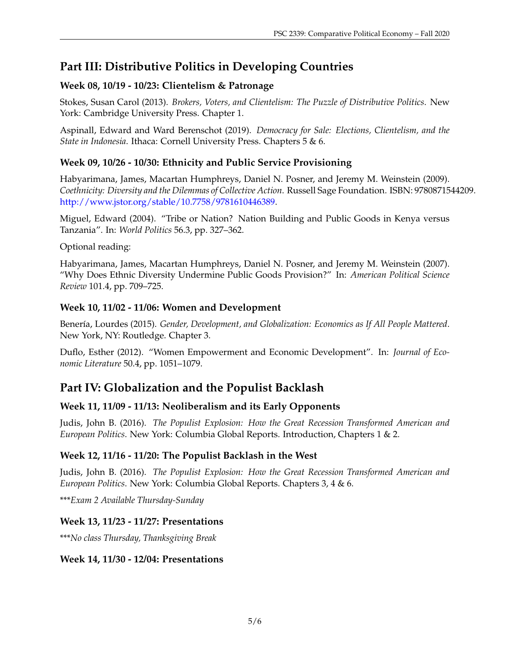# **Part III: Distributive Politics in Developing Countries**

## **Week 08, 10/19 - 10/23: Clientelism & Patronage**

Stokes, Susan Carol (2013). *Brokers, Voters, and Clientelism: The Puzzle of Distributive Politics*. New York: Cambridge University Press. Chapter 1.

Aspinall, Edward and Ward Berenschot (2019). *Democracy for Sale: Elections, Clientelism, and the State in Indonesia*. Ithaca: Cornell University Press. Chapters 5 & 6.

## **Week 09, 10/26 - 10/30: Ethnicity and Public Service Provisioning**

Habyarimana, James, Macartan Humphreys, Daniel N. Posner, and Jeremy M. Weinstein (2009). *Coethnicity: Diversity and the Dilemmas of Collective Action*. Russell Sage Foundation. ISBN: 9780871544209. [http://www.jstor.org/stable/10.7758/9781610446389.](http://www.jstor.org/stable/10.7758/9781610446389)

Miguel, Edward (2004). "Tribe or Nation? Nation Building and Public Goods in Kenya versus Tanzania". In: *World Politics* 56.3, pp. 327–362.

Optional reading:

Habyarimana, James, Macartan Humphreys, Daniel N. Posner, and Jeremy M. Weinstein (2007). "Why Does Ethnic Diversity Undermine Public Goods Provision?" In: *American Political Science Review* 101.4, pp. 709–725.

### **Week 10, 11/02 - 11/06: Women and Development**

Benería, Lourdes (2015). *Gender, Development, and Globalization: Economics as If All People Mattered*. New York, NY: Routledge. Chapter 3.

Duflo, Esther (2012). "Women Empowerment and Economic Development". In: *Journal of Economic Literature* 50.4, pp. 1051–1079.

# **Part IV: Globalization and the Populist Backlash**

## **Week 11, 11/09 - 11/13: Neoliberalism and its Early Opponents**

Judis, John B. (2016). *The Populist Explosion: How the Great Recession Transformed American and European Politics*. New York: Columbia Global Reports. Introduction, Chapters 1 & 2.

## **Week 12, 11/16 - 11/20: The Populist Backlash in the West**

Judis, John B. (2016). *The Populist Explosion: How the Great Recession Transformed American and European Politics*. New York: Columbia Global Reports. Chapters 3, 4 & 6.

\*\*\**Exam 2 Available Thursday-Sunday*

## **Week 13, 11/23 - 11/27: Presentations**

\*\*\**No class Thursday, Thanksgiving Break*

### **Week 14, 11/30 - 12/04: Presentations**